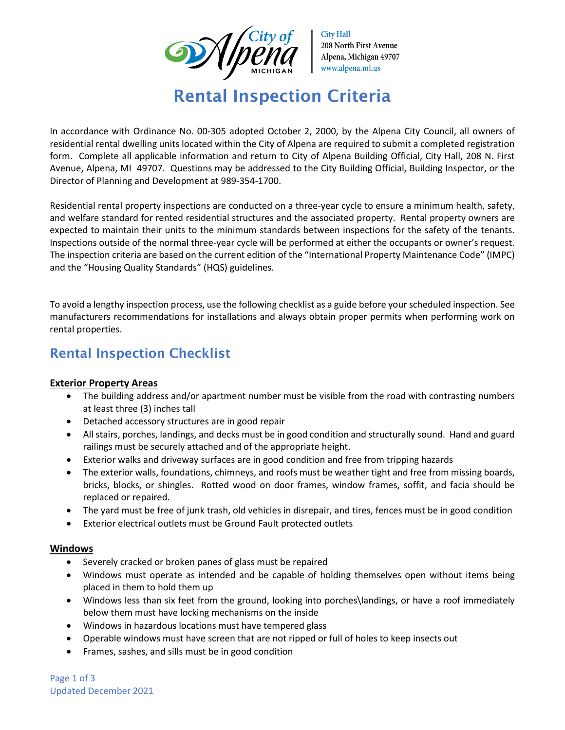

**City Hall** 208 North First Avenue Alpena, Michigan 49707 www.alpena.mi.us

# Rental Inspection Criteria

In accordance with Ordinance No. 00-305 adopted October 2, 2000, by the Alpena City Council, all owners of residential rental dwelling units located within the City of Alpena are required to submit a completed registration form. Complete all applicable information and return to City of Alpena Building Official, City Hall, 208 N. First Avenue, Alpena, MI 49707. Questions may be addressed to the City Building Official, Building Inspector, or the Director of Planning and Development at 989-354-1700.

Residential rental property inspections are conducted on a three-year cycle to ensure a minimum health, safety, and welfare standard for rented residential structures and the associated property. Rental property owners are expected to maintain their units to the minimum standards between inspections for the safety of the tenants. Inspections outside of the normal three-year cycle will be performed at either the occupants or owner's request. The inspection criteria are based on the current edition of the "International Property Maintenance Code" (IMPC) and the "Housing Quality Standards" (HQS) guidelines.

To avoid a lengthy inspection process, use the following checklist as a guide before your scheduled inspection. See manufacturers recommendations for installations and always obtain proper permits when performing work on rental properties.

## Rental Inspection Checklist

### **Exterior Property Areas**

- The building address and/or apartment number must be visible from the road with contrasting numbers at least three (3) inches tall
- Detached accessory structures are in good repair
- All stairs, porches, landings, and decks must be in good condition and structurally sound. Hand and guard railings must be securely attached and of the appropriate height.
- Exterior walks and driveway surfaces are in good condition and free from tripping hazards
- The exterior walls, foundations, chimneys, and roofs must be weather tight and free from missing boards, bricks, blocks, or shingles. Rotted wood on door frames, window frames, soffit, and facia should be replaced or repaired.
- The yard must be free of junk trash, old vehicles in disrepair, and tires, fences must be in good condition
- Exterior electrical outlets must be Ground Fault protected outlets

#### **Windows**

- Severely cracked or broken panes of glass must be repaired
- Windows must operate as intended and be capable of holding themselves open without items being placed in them to hold them up
- Windows less than six feet from the ground, looking into porches\landings, or have a roof immediately below them must have locking mechanisms on the inside
- Windows in hazardous locations must have tempered glass
- Operable windows must have screen that are not ripped or full of holes to keep insects out
- Frames, sashes, and sills must be in good condition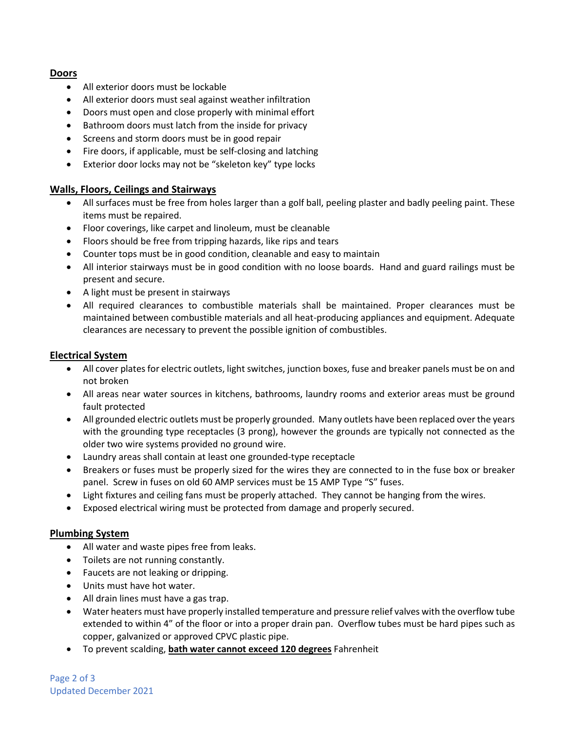#### **Doors**

- All exterior doors must be lockable
- All exterior doors must seal against weather infiltration
- Doors must open and close properly with minimal effort
- Bathroom doors must latch from the inside for privacy
- Screens and storm doors must be in good repair
- Fire doors, if applicable, must be self-closing and latching
- Exterior door locks may not be "skeleton key" type locks

#### **Walls, Floors, Ceilings and Stairways**

- All surfaces must be free from holes larger than a golf ball, peeling plaster and badly peeling paint. These items must be repaired.
- Floor coverings, like carpet and linoleum, must be cleanable
- Floors should be free from tripping hazards, like rips and tears
- Counter tops must be in good condition, cleanable and easy to maintain
- All interior stairways must be in good condition with no loose boards. Hand and guard railings must be present and secure.
- A light must be present in stairways
- All required clearances to combustible materials shall be maintained. Proper clearances must be maintained between combustible materials and all heat-producing appliances and equipment. Adequate clearances are necessary to prevent the possible ignition of combustibles.

#### **Electrical System**

- All cover plates for electric outlets, light switches, junction boxes, fuse and breaker panels must be on and not broken
- All areas near water sources in kitchens, bathrooms, laundry rooms and exterior areas must be ground fault protected
- All grounded electric outlets must be properly grounded. Many outlets have been replaced over the years with the grounding type receptacles (3 prong), however the grounds are typically not connected as the older two wire systems provided no ground wire.
- Laundry areas shall contain at least one grounded-type receptacle
- Breakers or fuses must be properly sized for the wires they are connected to in the fuse box or breaker panel. Screw in fuses on old 60 AMP services must be 15 AMP Type "S" fuses.
- Light fixtures and ceiling fans must be properly attached. They cannot be hanging from the wires.
- Exposed electrical wiring must be protected from damage and properly secured.

#### **Plumbing System**

- All water and waste pipes free from leaks.
- Toilets are not running constantly.
- Faucets are not leaking or dripping.
- Units must have hot water.
- All drain lines must have a gas trap.
- Water heaters must have properly installed temperature and pressure relief valves with the overflow tube extended to within 4" of the floor or into a proper drain pan. Overflow tubes must be hard pipes such as copper, galvanized or approved CPVC plastic pipe.
- To prevent scalding, **bath water cannot exceed 120 degrees** Fahrenheit